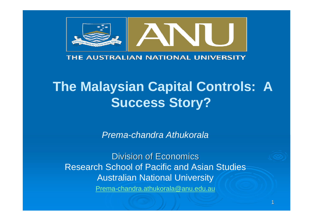

#### THE AUSTRALIAN NATIONAL UNIVERSITY

# **The Malaysian Capital Controls: A Success Story?**

*Prema-chandra Athukorala*

**Division of Economics** Research School of Pacific and Asian Studies Australian National University Prema-chandra.athukorala@anu.edu.au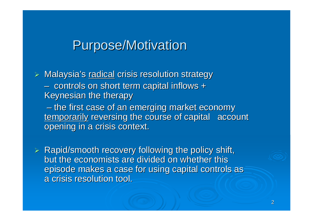## **Purpose/Motivation**

¾Malaysia's radical crisis resolution strategy – $-$  controls on short term capital inflows  $\texttt{+}$ Keynesian the therapy – $-$  the first case of an emerging market economy temporarily reversing the course of capital account opening in a crisis context.

 $\triangleright$  Rapid/smooth recovery following the policy shift, but the economists are divided on whether this episode makes a case for using capital controls as a crisis resolution tool. a crisis resolution tool.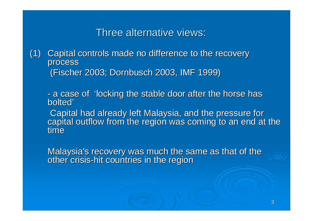Three alternative views:

(1) Capital controls made no difference to the recovery process (Fischer 2003; Dornbusch 2003, IMF 1999) (Fischer 2003; Dornbusch 2003, IMF 1999)

-- a case of 'locking the stable door after the horse has<br>bolted'

Capital had already left Malaysia, and the pressure for<br>capital outflow from the region was coming to an end at the time

Malaysia's recovery was much the same as that of the other crisis-hit countries in the region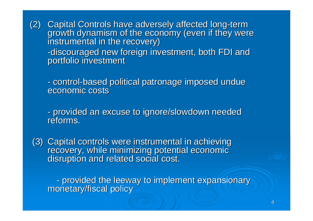(2) Capital Controls have adversely affected long-term<br>growth dynamism of the economy (even if they were<br>instrumental in the recovery) -discouraged new foreign investment, both FDI and<br>portfolio investment

-- control-based political patronage imposed undue<br>economic costs economic costs

-- provided an excuse to ignore/slowdown needed<br>reforms.

(3) Capital controls were instrumental in achieving<br>recovery, while minimizing potential economic<br>disruption and related social cost.

provided the leeway to implement expansionary provided the leeway to implement expansionary monetary/fiscal policy monetary/fiscal policy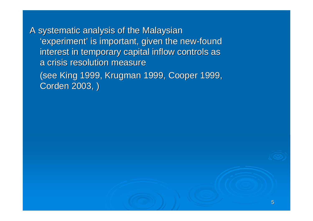A systematic analysis of the Malaysian 'experiment' is important, given the new-found interest in temporary capital inflow controls as a crisis resolution measure

(see King 1999, Krugman 1999, Cooper 1999, Corden 2003, )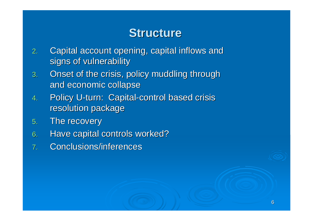## **Structure Structure**

- 2.Capital account opening, capital inflows and signs of vulnerability
- 3. Onset of the crisis, policy muddling through and economic collapse
- 4.Policy U-turn: Capital-control based crisis resolution package
- 5. The recovery
- 6. Have capital controls worked?
- 7.. Conclusions/inferences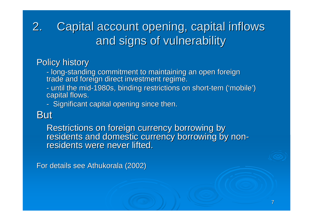### 2.Capital account opening, capital inflows and signs of vulnerability

### **Policy history**

- long-standing commitment to maintaining an open foreign<br>trade and foreign direct investment regime.

- until the mid-1980s, binding restrictions on short-tem ('mobile')<br>capital flows.
- Significant capital opening since then.

## **But**

Restrictions on foreign currency borrowing by residents and domestic currency borrowing by non-<br>residents were never lifted.

For details see Athukorala (2002) For details see Athukorala (2002)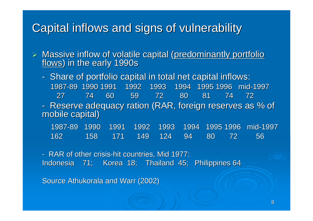## Capital inflows and signs of vulnerability Capital inflows and signs of vulnerability

¾Massive inflow of volatile capital (predominantly portfolio flows) in the early 1990s

-- Share of portfolio capital in total net capital inflows: 1987 -89 1990 1991 1992 1993 89 1990 1991 1992 1993 1994 1995 1996 mid 1994 1995 1996 mid -1997 27 74 60 59 72 80 27 74 60 59 72 80 81 74 72 81 74 72 -- Reserve adequacy ration (RAR, foreign reserves as % of<br>mobile capital)

| 1987-89 1990 1991 1992 1993 1994 1995 1996 mid-1997 |  |  |  |                                 |
|-----------------------------------------------------|--|--|--|---------------------------------|
| 162                                                 |  |  |  | l 158 171 149 124 94 80 72 56 i |

- RAR of other crisis-hit countries, Mid 1977: Indonesia 71; Korea 18; Thailand 45; Philippines 64

Source Athukorala and Warr (2002)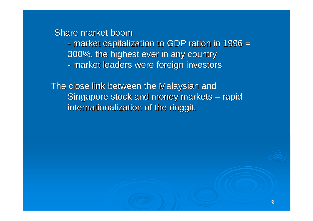Share market boom -- market capitalization to GDP ration in 1996 = 300%, the highest ever in any country 300%, the highest ever in any country -- market leaders were foreign investors

The close link between the Malaysian and Singapore stock and money markets – rapid internationalization of the ringgit.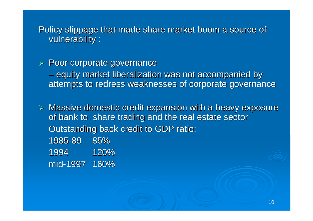Policy slippage that made share market boom a source of vulnerability : vulnerability :

### $\triangleright$  Poor corporate governance

– equity market liberalization was not accompanied by attempts to redress weaknesses of corporate governance

 $\triangleright$  Massive domestic credit expansion with a heavy exposure of bank to share trading and the real estate sector Outstanding back credit to GDP ratio: 1985 -89 85%

1994 120% mid -1997 160%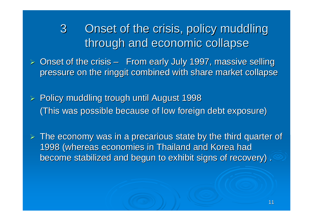3 Onset of the crisis, policy muddling through and economic collapse

 $\triangleright$  Onset of the crisis – From early July 1997, massive selling pressure on the ringgit combined with share market collapse

≻ Policy muddling trough until August 1998 (This was possible because of low foreign debt exposure)

 $\triangleright$  The economy was in a precarious state by the third quarter of 1998 (whereas economies in Thailand and Korea had 1998 (whereas economies in Thailand and Korea had become stabilized and begun to exhibit signs of recovery) . become stabilized and begun to exhibit signs of recovery) .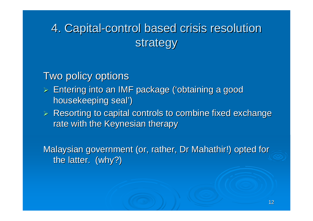# 4. Capital-control based crisis resolution strategy

## Two policy options

- $\triangleright$  Entering into an IMF package ('obtaining a good housekeeping seal')
- $\triangleright$  Resorting to capital controls to combine fixed exchange rate with the Keynesian therapy

Malaysian government (or, rather, Dr Mahathir!) opted for the latter. (why?)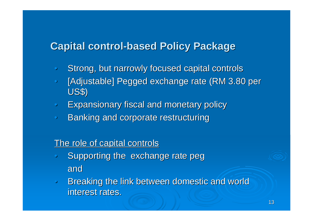## **Capital control-based Policy Package**

- $\bullet$ Strong, but narrowly focused capital controls
- $\bullet$ [Adjustable] Pegged exchange rate (RM 3.80 per US\$)
- $\bullet$ Expansionary fiscal and monetary policy Expansionary fiscal and monetary policy
- $\bullet$ Banking and corporate restructuring

#### The role of capital controls

- $\bigcap$ Supporting the exchange rate peg and
- $\overline{\mathsf{C}}$ Breaking the link between domestic and world interest rates.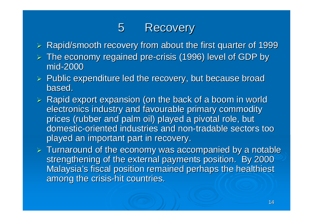## 5 Recovery

- $\triangleright$  Rapid/smooth recovery from about the first quarter of 1999
- $\triangleright$  The economy regained pre-crisis (1996) level of GDP by mid-2000
- $\triangleright$  Public expenditure led the recovery, but because broad based.
- $\triangleright$  Rapid export expansion (on the back of a boom in world electronics industry and favourable primary commodity prices (rubber and palm oil) played a pivotal role, but domestic-oriented industries and non-tradable sectors too played an important part in recovery.
- $\triangleright$  Turnaround of the economy was accompanied by a notable strengthening of the external payments position. By 2000 Malaysia's fiscal position remained perhaps the healthiest among the crisis-hit countries.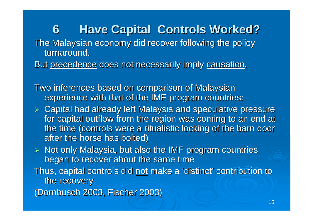**6 Have Capital Controls Worked?** The Malaysian economy did recover following the policy turnaround. But precedence does not necessarily imply causation.

Two inferences based on comparison of Malaysian experience with that of the IMF-program countries:

- $\triangleright$  Capital had already left Malaysia and speculative pressure for capital outflow from the region was coming to an end at the time (controls were a ritualistic locking of the barn door after the horse has bolted)
- $\triangleright$  Not only Malaysia, but also the IMF program countries began to recover about the same time
- Thus, capital controls did not make a 'distinct' contribution to the recovery

(Dornbusch 2003, Fischer 2003)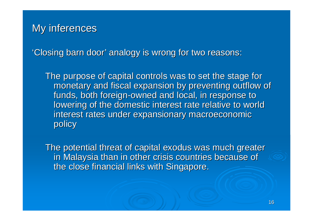### My inferences

'Closing barn door' analogy is wrong for two reasons:

The purpose of capital controls was to set the stage for monetary and fiscal expansion by preventing outflow of funds, both foreign-owned and local, in response to lowering of the domestic interest rate relative to world interest rates under expansionary macroeconomic policy

The potential threat of capital exodus was much greater in Malaysia than in other crisis countries because of the close financial links with Singapore.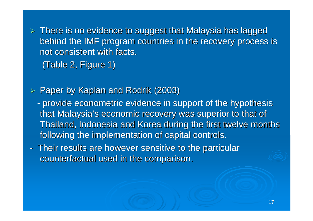$\triangleright$  There is no evidence to suggest that Malaysia has lagged behind the IMF program countries in the recovery process is not consistent with facts. (Table 2, Figure 1)

 $\blacktriangleright$ Paper by Kaplan and Rodrik (2003)

- -- provide econometric evidence in support of the hypothesis that Malaysia's economic recovery was superior to that of Thailand, Indonesia and Korea during the first twelve months following the implementation of capital controls.
- -- Their results are however sensitive to the particular counterfactual used in the comparison.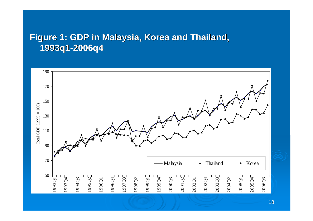### **Figure 1: GDP in Malaysia, Korea and Thailand, 1993q1 -2006q4**



18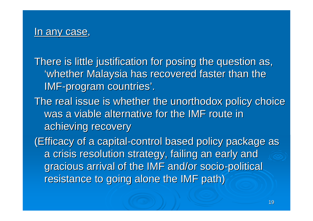### In any case,

There is little justification for posing the question as, 'whether Malaysia has recovered faster than the IMF-program countries'.

The real issue is whether the unorthodox policy choice was a viable alternative for the IMF route in achieving recovery

(Efficacy of a capital-control based policy package as a crisis resolution strategy, failing an early and gracious arrival of the IMF and/or socio-political resistance to going alone the IMF path)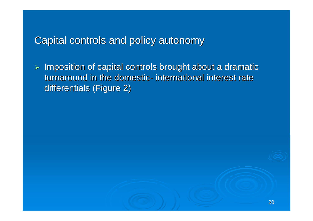## Capital controls and policy autonomy Capital controls and policy autonomy

 $\triangleright$  Imposition of capital controls brought about a dramatic turnaround in the domestic - international interest rate differentials (Figure 2)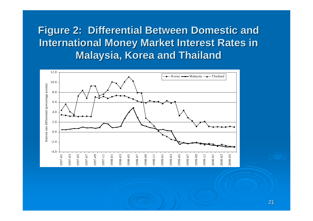**Figure 2: Differential Between Domestic and International Money Market Interest Rates in Malaysia, Korea and Thailand** 

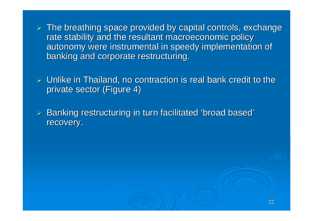$\triangleright$  The breathing space provided by capital controls, exchange rate stability and the resultant macroeconomic policy autonomy were instrumental in speedy implementation of banking and corporate restructuring.

 $\triangleright$  Unlike in Thailand, no contraction is real bank credit to the private sector (Figure 4)

 $\triangleright$  Banking restructuring in turn facilitated 'broad based' recovery.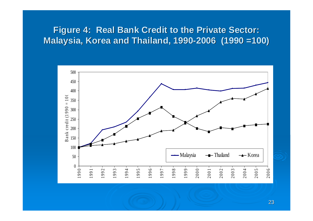### **Figure 4: Real Bank Credit to the Private Sector: Malaysia, Korea and Thailand, 1990 Malaysia, Korea and Thailand, 1990 -2006 (1990 =100) 2006 (1990 =100)**

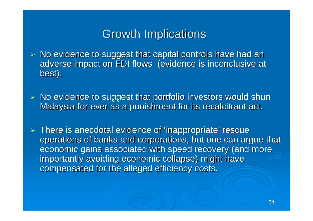## Growth Implications Growth Implications

- $\triangleright$  No evidence to suggest that capital controls have had an adverse impact on FDI flows (evidence is inconclusive at best).
- $\triangleright$  No evidence to suggest that portfolio investors would shun Malaysia for ever as a punishment for its recalcitrant act.
- $\triangleright$  There is anecdotal evidence of 'inappropriate' rescue operations of banks and corporations, but one can argue that economic gains associated with speed recovery (and more importantly avoiding economic collapse) might have compensated for the alleged efficiency costs.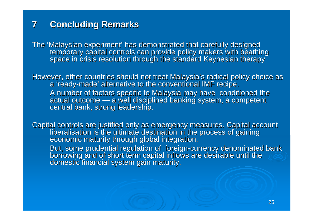#### **7Concluding Remarks Concluding Remarks**

The 'Malaysian experiment' has demonstrated that carefully designed<br>temporary capital controls can provide policy makers with beathing<br>space in crisis resolution through the standard Keynesian therapy

However, other countries should not treat Malaysia's radical policy choice as a 'ready-made' alternative to the conventional IMF recipe. A number of factors specific to Malaysia may have conditioned the actual outcome — a well disciplined banking system, a competent central bank, strong leadership.

Capital controls are justified only as emergency measures. Capital account<br>liberalisation is the ultimate destination in the process of gaining<br>economic maturity through global integration.

But, some prudential regulation of foreign-currency denominated bank<br>borrowing and of short term capital inflows are desirable until the<br>domestic financial system gain maturity.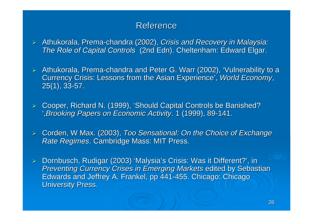#### Reference

- ¾Athukorala, Prema-chandra (2002), *Crisis and Recovery in Malaysia: The Role of Capital Controls* (2nd Edn). Cheltenham: Edward Elgar.
- $\triangleright$  Athukorala, Prema-chandra and Peter G. Warr (2002), 'Vulnerability to a Currency Crisis: Lessons from the Asian Experience', *World Economy*,  $25(1), 33-57.$
- ¾Cooper, Richard N. (1999), 'Should Capital Controls be Banished?  $\epsilon$ ,*Brooking Papers on Economic Activity Brooking Papers on Economic Activity*. 1 (1999), 89 . 1 (1999), 89-141.
- ¾Corden, W Max. (2003), *Too Sensational: On the Choice of Exchange Rate Regimes. Cambridge Mass: MIT Press.*
- ¾Dornbusch, Rudigar (2003) 'Malysia's Crisis: Was it Different?', in *Preventing Currency Crises in Emerging Markets* edited by Sebastian Edwards and Jeffrey A. Frankel, pp 441-455. Chicago: Chicago **University Press.**